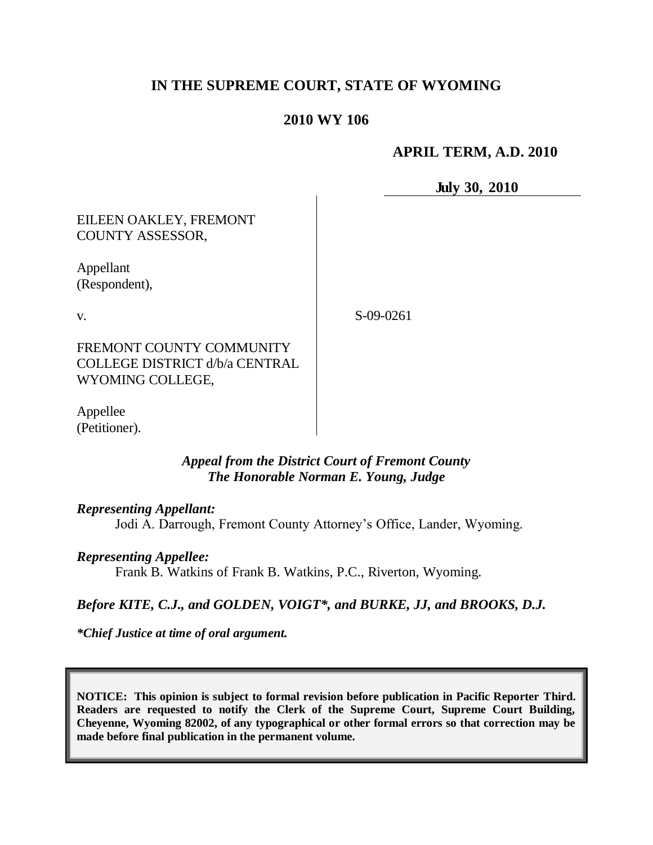# **IN THE SUPREME COURT, STATE OF WYOMING**

## **2010 WY 106**

# **APRIL TERM, A.D. 2010**

**July 30, 2010**

## EILEEN OAKLEY, FREMONT COUNTY ASSESSOR,

Appellant (Respondent),

v.

S-09-0261

FREMONT COUNTY COMMUNITY COLLEGE DISTRICT d/b/a CENTRAL WYOMING COLLEGE,

Appellee (Petitioner).

#### *Appeal from the District Court of Fremont County The Honorable Norman E. Young, Judge*

#### *Representing Appellant:*

Jodi A. Darrough, Fremont County Attorney's Office, Lander, Wyoming.

#### *Representing Appellee:*

Frank B. Watkins of Frank B. Watkins, P.C., Riverton, Wyoming.

#### *Before KITE, C.J., and GOLDEN, VOIGT\*, and BURKE, JJ, and BROOKS, D.J.*

*\*Chief Justice at time of oral argument.*

**NOTICE: This opinion is subject to formal revision before publication in Pacific Reporter Third. Readers are requested to notify the Clerk of the Supreme Court, Supreme Court Building, Cheyenne, Wyoming 82002, of any typographical or other formal errors so that correction may be made before final publication in the permanent volume.**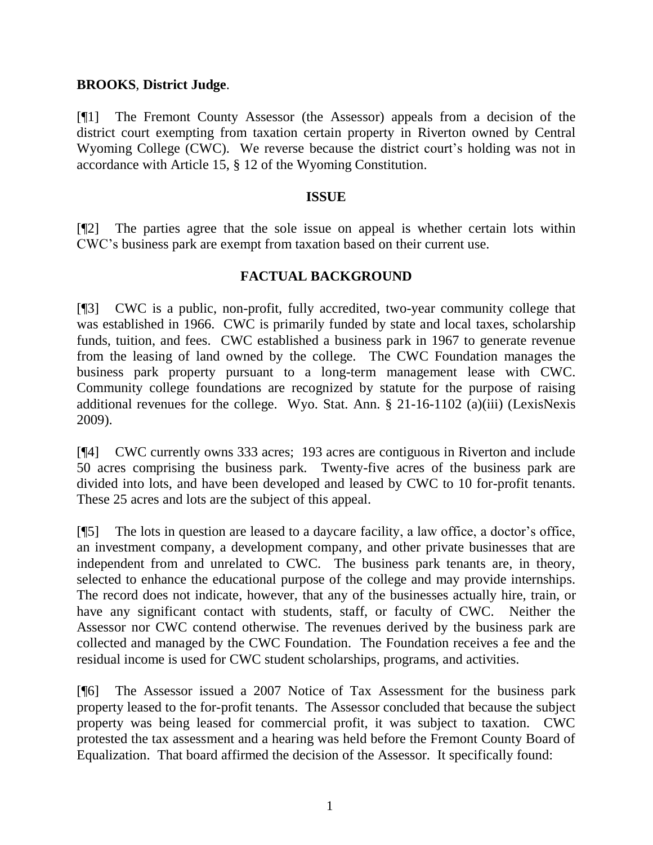#### **BROOKS**, **District Judge**.

[¶1] The Fremont County Assessor (the Assessor) appeals from a decision of the district court exempting from taxation certain property in Riverton owned by Central Wyoming College (CWC). We reverse because the district court's holding was not in accordance with Article 15, § 12 of the Wyoming Constitution.

#### **ISSUE**

[¶2] The parties agree that the sole issue on appeal is whether certain lots within CWC's business park are exempt from taxation based on their current use.

#### **FACTUAL BACKGROUND**

[¶3] CWC is a public, non-profit, fully accredited, two-year community college that was established in 1966. CWC is primarily funded by state and local taxes, scholarship funds, tuition, and fees. CWC established a business park in 1967 to generate revenue from the leasing of land owned by the college. The CWC Foundation manages the business park property pursuant to a long-term management lease with CWC. Community college foundations are recognized by statute for the purpose of raising additional revenues for the college. Wyo. Stat. Ann. § 21-16-1102 (a)(iii) (LexisNexis 2009).

[¶4] CWC currently owns 333 acres; 193 acres are contiguous in Riverton and include 50 acres comprising the business park. Twenty-five acres of the business park are divided into lots, and have been developed and leased by CWC to 10 for-profit tenants. These 25 acres and lots are the subject of this appeal.

[¶5] The lots in question are leased to a daycare facility, a law office, a doctor's office, an investment company, a development company, and other private businesses that are independent from and unrelated to CWC. The business park tenants are, in theory, selected to enhance the educational purpose of the college and may provide internships. The record does not indicate, however, that any of the businesses actually hire, train, or have any significant contact with students, staff, or faculty of CWC. Neither the Assessor nor CWC contend otherwise. The revenues derived by the business park are collected and managed by the CWC Foundation. The Foundation receives a fee and the residual income is used for CWC student scholarships, programs, and activities.

[¶6] The Assessor issued a 2007 Notice of Tax Assessment for the business park property leased to the for-profit tenants. The Assessor concluded that because the subject property was being leased for commercial profit, it was subject to taxation. CWC protested the tax assessment and a hearing was held before the Fremont County Board of Equalization. That board affirmed the decision of the Assessor. It specifically found: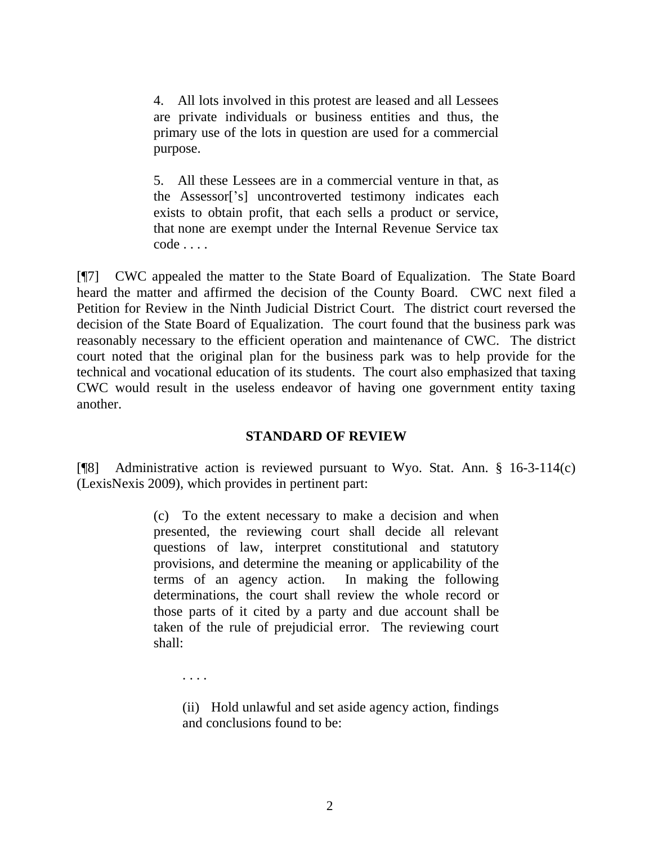4. All lots involved in this protest are leased and all Lessees are private individuals or business entities and thus, the primary use of the lots in question are used for a commercial purpose.

5. All these Lessees are in a commercial venture in that, as the Assessor['s] uncontroverted testimony indicates each exists to obtain profit, that each sells a product or service, that none are exempt under the Internal Revenue Service tax code . . . .

[¶7] CWC appealed the matter to the State Board of Equalization. The State Board heard the matter and affirmed the decision of the County Board. CWC next filed a Petition for Review in the Ninth Judicial District Court. The district court reversed the decision of the State Board of Equalization. The court found that the business park was reasonably necessary to the efficient operation and maintenance of CWC. The district court noted that the original plan for the business park was to help provide for the technical and vocational education of its students. The court also emphasized that taxing CWC would result in the useless endeavor of having one government entity taxing another.

#### **STANDARD OF REVIEW**

[¶8] Administrative action is reviewed pursuant to Wyo. Stat. Ann. § 16-3-114(c) (LexisNexis 2009), which provides in pertinent part:

> (c) To the extent necessary to make a decision and when presented, the reviewing court shall decide all relevant questions of law, interpret constitutional and statutory provisions, and determine the meaning or applicability of the terms of an agency action. In making the following determinations, the court shall review the whole record or those parts of it cited by a party and due account shall be taken of the rule of prejudicial error. The reviewing court shall:

(ii) Hold unlawful and set aside agency action, findings and conclusions found to be:

. . . .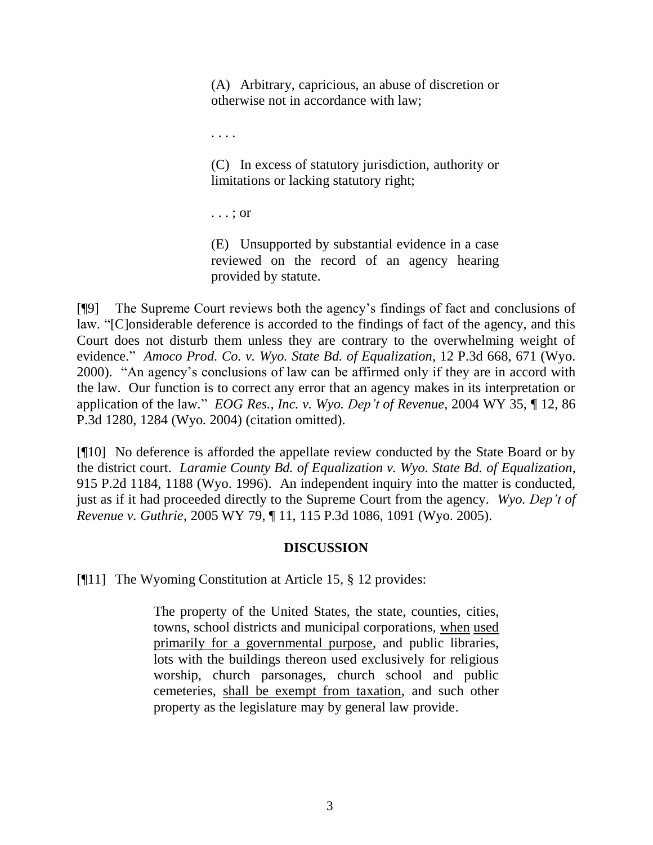(A) Arbitrary, capricious, an abuse of discretion or otherwise not in accordance with law;

. . . .

(C) In excess of statutory jurisdiction, authority or limitations or lacking statutory right;

. . . ; or

(E) Unsupported by substantial evidence in a case reviewed on the record of an agency hearing provided by statute.

[¶9] The Supreme Court reviews both the agency's findings of fact and conclusions of law. "[C]onsiderable deference is accorded to the findings of fact of the agency, and this Court does not disturb them unless they are contrary to the overwhelming weight of evidence." *Amoco Prod. Co. v. Wyo. State Bd. of Equalization*, 12 P.3d 668, 671 (Wyo. 2000)."An agency's conclusions of law can be affirmed only if they are in accord with the law. Our function is to correct any error that an agency makes in its interpretation or application of the law*.*" *EOG Res., Inc. v. Wyo. Dep't of Revenue*, 2004 WY 35, ¶ 12, 86 P.3d 1280, 1284 (Wyo. 2004) (citation omitted).

[¶10] No deference is afforded the appellate review conducted by the State Board or by the district court. *Laramie County Bd. of Equalization v. Wyo. State Bd. of Equalization*, 915 P.2d 1184, 1188 (Wyo. 1996). An independent inquiry into the matter is conducted, just as if it had proceeded directly to the Supreme Court from the agency. *Wyo. Dep't of Revenue v. Guthrie*, 2005 WY 79, ¶ 11, 115 P.3d 1086, 1091 (Wyo. 2005).

#### **DISCUSSION**

[¶11] The Wyoming Constitution at Article 15, § 12 provides:

The property of the United States, the state, counties, cities, towns, school districts and municipal corporations, when used primarily for a governmental purpose, and public libraries, lots with the buildings thereon used exclusively for religious worship, church parsonages, church school and public cemeteries, shall be exempt from taxation, and such other property as the legislature may by general law provide.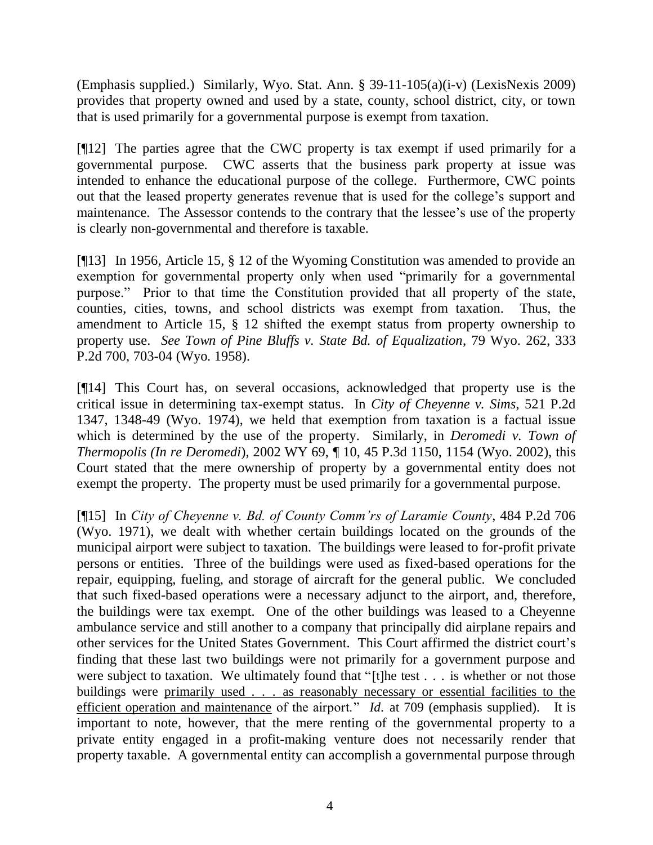(Emphasis supplied.) Similarly, Wyo. Stat. Ann. § 39-11-105(a)(i-v) (LexisNexis 2009) provides that property owned and used by a state, county, school district, city, or town that is used primarily for a governmental purpose is exempt from taxation.

[¶12] The parties agree that the CWC property is tax exempt if used primarily for a governmental purpose. CWC asserts that the business park property at issue was intended to enhance the educational purpose of the college. Furthermore, CWC points out that the leased property generates revenue that is used for the college's support and maintenance. The Assessor contends to the contrary that the lessee's use of the property is clearly non-governmental and therefore is taxable.

[¶13] In 1956, Article 15, § 12 of the Wyoming Constitution was amended to provide an exemption for governmental property only when used "primarily for a governmental purpose." Prior to that time the Constitution provided that all property of the state, counties, cities, towns, and school districts was exempt from taxation. Thus, the amendment to Article 15, § 12 shifted the exempt status from property ownership to property use. *See Town of Pine Bluffs v. State Bd. of Equalization*, 79 Wyo. 262, 333 P.2d 700, 703-04 (Wyo. 1958).

[¶14] This Court has, on several occasions, acknowledged that property use is the critical issue in determining tax-exempt status. In *City of Cheyenne v. Sims*, 521 P.2d 1347, 1348-49 (Wyo. 1974), we held that exemption from taxation is a factual issue which is determined by the use of the property. Similarly, in *Deromedi v. Town of Thermopolis (In re Deromedi*), 2002 WY 69, ¶ 10, 45 P.3d 1150, 1154 (Wyo. 2002), this Court stated that the mere ownership of property by a governmental entity does not exempt the property. The property must be used primarily for a governmental purpose.

[¶15] In *City of Cheyenne v. Bd. of County Comm'rs of Laramie County*, 484 P.2d 706 (Wyo. 1971), we dealt with whether certain buildings located on the grounds of the municipal airport were subject to taxation. The buildings were leased to for-profit private persons or entities. Three of the buildings were used as fixed-based operations for the repair, equipping, fueling, and storage of aircraft for the general public. We concluded that such fixed-based operations were a necessary adjunct to the airport, and, therefore, the buildings were tax exempt. One of the other buildings was leased to a Cheyenne ambulance service and still another to a company that principally did airplane repairs and other services for the United States Government. This Court affirmed the district court's finding that these last two buildings were not primarily for a government purpose and were subject to taxation. We ultimately found that "[t]he test . . . is whether or not those buildings were primarily used . . . as reasonably necessary or essential facilities to the efficient operation and maintenance of the airport." *Id*. at 709 (emphasis supplied). It is important to note, however, that the mere renting of the governmental property to a private entity engaged in a profit-making venture does not necessarily render that property taxable. A governmental entity can accomplish a governmental purpose through